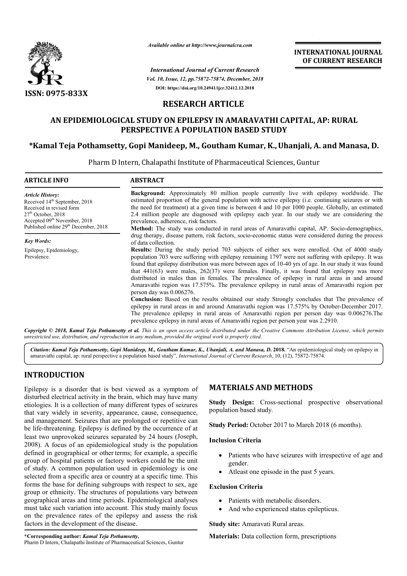

*Available online at http://www.journalcra.com*

*Vol. 10, Issue, 12, pp.75872-75874, December, 2018 International Journal of Current Research* **DOI: https://doi.org/10.24941/ijcr.32412.12.2018**

**INTERNATIONAL JOURNAL OF CURRENT RESEARCH**

# **RESEARCH ARTICLE**

# **AN EPIDEMIOLOGICAL STUDY ON EPILEPSY IN AMARAVATHI CAPITAL, AP: RURAL AN EPIDEMIOLOGICAL PERSPECTIVE A POPULATION BASED STUDY**

# **\*Kamal Teja Pothamsetty, Gopi Manideep, M M., Goutham Kumar, K.,Uhanjali, A. and Manasa, D. Uhanjali, and Manasa,**

Pharm D Intern, Chalapathi Institute of Pharmaceutical Sciences, Guntur D

| <b>ARTICLE INFO</b>                                                                                                                                                                                                      | <b>ABSTRACT</b>                                                                                                                                                                                                                                                                                                                                                                                                                                                                                                                                                                                                                                                                                                                                                                                                                                                                                                                                                                                                                                |
|--------------------------------------------------------------------------------------------------------------------------------------------------------------------------------------------------------------------------|------------------------------------------------------------------------------------------------------------------------------------------------------------------------------------------------------------------------------------------------------------------------------------------------------------------------------------------------------------------------------------------------------------------------------------------------------------------------------------------------------------------------------------------------------------------------------------------------------------------------------------------------------------------------------------------------------------------------------------------------------------------------------------------------------------------------------------------------------------------------------------------------------------------------------------------------------------------------------------------------------------------------------------------------|
| <b>Article History:</b><br>Received 14 <sup>th</sup> September, 2018<br>Received in revised form<br>$27th$ October, 2018<br>Accepted 09 <sup>th</sup> November, 2018<br>Published online 29 <sup>th</sup> December, 2018 | <b>Background:</b> Approximately 80 million people currently live with epilepsy worldwide. The<br>estimated proportion of the general population with active epilepsy (i.e. continuing seizures or with<br>the need for treatment) at a given time is between 4 and 10 per 1000 people. Globally, an estimated<br>2.4 million people are diagnosed with epilepsy each year. In our study we are considering the<br>prevalence, adherence, risk factors.                                                                                                                                                                                                                                                                                                                                                                                                                                                                                                                                                                                        |
| <b>Key Words:</b>                                                                                                                                                                                                        | Method: The study was conducted in rural areas of Amaravathi capital, AP. Socio-demographics,<br>drug therapy, disease pattern, risk factors, socio-economic status were considered during the process<br>of data collection.                                                                                                                                                                                                                                                                                                                                                                                                                                                                                                                                                                                                                                                                                                                                                                                                                  |
| Epilepsy, Epidemiology,<br>Prevalence.                                                                                                                                                                                   | Results: During the study period 703 subjects of either sex were enrolled. Out of 4000 study<br>population 703 were suffering with epilepsy remaining 1797 were not suffering with epilepsy. It was<br>found that epilepsy distribution was more between ages of 10-40 yrs of age. In our study it was found<br>that $441(63)$ were males, $262(37)$ were females. Finally, it was found that epilepsy was more<br>distributed in males than in females. The prevalence of epilepsy in rural areas in and around<br>Amaravathi region was 17.575%. The prevalence epilepsy in rural areas of Amaravathi region per<br>person day was 0.006276.<br><b>Conclusion:</b> Based on the results obtained our study Strongly concludes that The prevalence of<br>epilepsy in rural areas in and around Amaravathi region was 17.575% by October-December 2017.<br>The prevalence epilepsy in rural areas of Amaravathi region per person day was 0.006276. The<br>prevalence epilepsy in rural areas of Amaravathi region per person year was 2.2910. |

Copyright © 2018, Kamal Teja Pothamsetty et al. This is an open access article distributed under the Creative Commons Attribution License, which permits *unrestricted use, distribution, and reproduction in any medium, provided the original work is properly cited.*

Citation: Kamal Teja Pothamsetty, Gopi Manideep, M., Goutham Kumar, K., Uhanjali, A. and Manasa, D. 2018. "An epidemiological study on epilepsy in<br>amaravathi capital, ap: rural perspective a population based study", *Inter* amaravathi capital, ap: rural perspective a population based study", *International Journal of Current Research*, 10, (12),

# **INTRODUCTION**

Epilepsy is a disorder that is best viewed as a symptom of disturbed electrical activity in the brain, which may have many etiologies. It is a collection of many different types of seizures that vary widely in severity, appearance, cause, consequence, and management. Seizures that are prolonged or repetitive can be life-threatening. Epilepsy is defined by the occurrence of at least two unprovoked seizures separated by 24 hours (Joseph, 2008). A focus of an epidemiological study is the population defined in geographical or other terms; for example, a specific group of hospital patients or factory workers could be the unit of study. A common population used in epidemiology is one selected from a specific area or country at a specific time. This forms the base for defining subgroups with respect to sex, age group or ethnicity. The structures of populations vary between geographical areas and time periods. Epidemiological analyses must take such variation into account. This study mainly focus on the prevalence rates of the epilepsy and assess the risk factors in the development of the disease.

# **MATERIALS AND METHODS METHODS**

**Study Design:** Cross-sectional prospective observational population based study.

Study Period: October 2017 to March 2018 (6 months).

## **Inclusion Criteria**

- Patients who have seizures with irrespective of age and gender.
- Atleast one episode in the past 5 years.

## **Exclusion Criteria**

- Patients with metabolic disorders.
- And who experienced status epilepticus. ith metabolic disorders.<br>experienced status epilepticus<br>ravati Rural areas.<br>collection form, prescriptions

**Study site:** Amaravati Rural areas.

**Materials:** Data collection form, prescriptions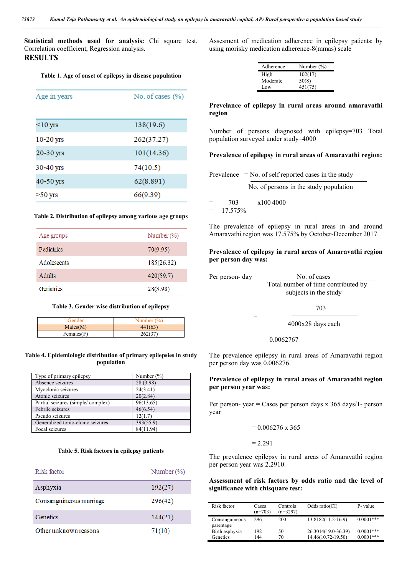**Statistical methods used for analysis:** Chi square test, Correlation coefficient, Regression analysis.

# **RESULTS**

### **Table 1. Age of onset of epilepsy in disease population**

| No. of cases $(\% )$<br>Age in years |            |
|--------------------------------------|------------|
|                                      |            |
| $<$ 10 yrs                           | 138(19.6)  |
| $10-20$ yrs                          | 262(37.27) |
| 20-30 yrs                            | 101(14.36) |
| 30-40 yrs                            | 74(10.5)   |
| 40-50 yrs                            | 62(8.891)  |
| $>50$ yrs                            | 66(9.39)   |

#### **Table 2. Distribution of epilepsy among various age groups**

| Age groups  | Number $(\% )$ |
|-------------|----------------|
| Pediatrics  | 70(9.95)       |
| Adolescents | 185(26.32)     |
| Adults      | 420(59.7)      |
| Geriatrics  | 28(3.98)       |

#### **Table 3. Gender wise distribution of epilepsy**

| Gender           | Number $(\%)$ |  |
|------------------|---------------|--|
| Males(M)         | 441(63)       |  |
| $F$ emales $(F)$ | 262(37)       |  |

### **Table 4. Epidemiologic distribution of primary epilepsies in study population**

| Type of primary epilepsy          | Number $(\% )$ |
|-----------------------------------|----------------|
| Absence seizures                  | 28 (3.98)      |
| Myoclonic seizures                | 24(3.41)       |
| Atonic seizures                   | 20(2.84)       |
| Partial seizures (simple/complex) | 96(13.65)      |
| Febrile seizures                  | 46(6.54)       |
| Pseudo seizures                   | 12(1.7)        |
| Generalized tonic-clonic seizures | 393(55.9)      |
| Focal seizures                    | 84(11.94)      |

#### **Table 5. Risk factors in epilepsy patients**

| Risk factor             | Number $(\% )$ |
|-------------------------|----------------|
| Asphyxia                | 192(27)        |
| Consanguineous marriage | 296(42)        |
| Genetics                | 144(21)        |
| Other unknown reasons   | 71(10)         |

Assesment of medication adherence in epilepsy patients: by using morisky medication adherence-8(mmas) scale

| Adherence | Number $(\% )$ |
|-----------|----------------|
| High      | 102(17)        |
| Moderate  | 50(8)          |
| Low       | 451(75)        |

**Prevelance of epilepsy in rural areas around amaravathi region**

Number of persons diagnosed with epilepsy=703 Total population surveyed under study=4000

### **Prevalence of epilepsy in rural areas of Amaravathi region:**

No. of persons in the study population

= 703 x100 4000

= 17.575%

 $=$ 

The prevalence of epilepsy in rural areas in and around Amaravathi region was 17.575% by October-December 2017.

## **Prevalence of epilepsy in rural areas of Amaravathi region per person day was:**

| Per person- $day =$ | No. of cases                        |
|---------------------|-------------------------------------|
|                     | Total number of time contributed by |
|                     | subjects in the study               |
|                     |                                     |

703

4000x28 days each

= 0.0062767

The prevalence epilepsy in rural areas of Amaravathi region per person day was 0.006276.

### **Prevalence of epilepsy in rural areas of Amaravathi region per person year was:**

Per person- year = Cases per person days  $x$  365 days/1- person year

$$
= 0.006276 \times 365
$$

 $= 2.291$ 

The prevalence epilepsy in rural areas of Amaravathi region per person year was 2.2910.

## **Assessment of risk factors by odds ratio and the level of significance with chisquare test:**

| Risk factor    | Cases<br>$(n=703)$ | Controls<br>$(n=3297)$ | Odds ratio( $CI$ )  | P- value    |
|----------------|--------------------|------------------------|---------------------|-------------|
| Consanguineous | 296                | 200                    | 13.8182(11.2-16.9)  | $0.0001***$ |
| parentage      |                    |                        |                     |             |
| Birth asphyxia | 192                | 50                     | 26.3014(19.0-36.39) | $0.0001***$ |
| Genetics       | 144                | 70                     | 14.46(10.72-19.50)  | $0.0001***$ |